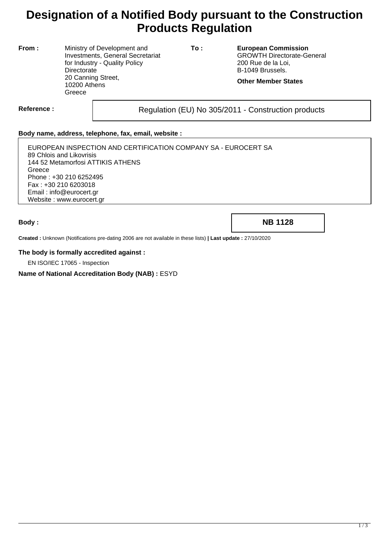# **Designation of a Notified Body pursuant to the Construction Products Regulation**

**From :** Ministry of Development and Investments, General Secretariat for Industry - Quality Policy **Directorate** 20 Canning Street, 10200 Athens **Greece** 

**To : European Commission** GROWTH Directorate-General 200 Rue de la Loi, B-1049 Brussels.

**Other Member States**

Reference : and **Regulation (EU) No 305/2011** - Construction products

### **Body name, address, telephone, fax, email, website :**

EUROPEAN INSPECTION AND CERTIFICATION COMPANY SA - EUROCERT SA 89 Chlois and Likovrisis 144 52 Metamorfosi ATTIKIS ATHENS **Greece** Phone : +30 210 6252495 Fax : +30 210 6203018 Email : info@eurocert.gr Website : www.eurocert.gr

**Body : NB 1128**

**Created :** Unknown (Notifications pre-dating 2006 are not available in these lists) **| Last update :** 27/10/2020

#### **The body is formally accredited against :**

EN ISO/IEC 17065 - Inspection

#### **Name of National Accreditation Body (NAB) :** ESYD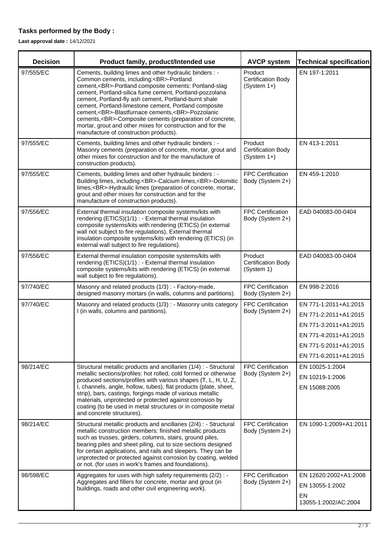## **Tasks performed by the Body :**

**Last approval date :** 14/12/2021

| <b>Decision</b> | Product family, product/Intended use                                                                                                                                                                                                                                                                                                                                                                                                                                                                                                                             | <b>AVCP system</b>                                    | <b>Technical specification</b>                                                                                                                     |
|-----------------|------------------------------------------------------------------------------------------------------------------------------------------------------------------------------------------------------------------------------------------------------------------------------------------------------------------------------------------------------------------------------------------------------------------------------------------------------------------------------------------------------------------------------------------------------------------|-------------------------------------------------------|----------------------------------------------------------------------------------------------------------------------------------------------------|
| 97/555/EC       | Cements, building limes and other hydraulic binders : -<br>Common cements, including:<br>-Portland<br>cement,<br>-Portland composite cements: Portland-slag<br>cement, Portland-silica fume cement, Portland-pozzolana<br>cement, Portland-fly ash cement, Portland-burnt shale<br>cement, Portland-limestone cement, Portland composite<br>cement,<br>-Blastfurnace cements,<br>-Pozzolanic<br>cements,<br>-Composite cements (preparation of concrete,<br>mortar, grout and other mixes for construction and for the<br>manufacture of construction products). | Product<br><b>Certification Body</b><br>(System 1+)   | EN 197-1:2011                                                                                                                                      |
| 97/555/EC       | Cements, building limes and other hydraulic binders : -<br>Masonry cements (preparation of concrete, mortar, grout and<br>other mixes for construction and for the manufacture of<br>construction products).                                                                                                                                                                                                                                                                                                                                                     | Product<br><b>Certification Body</b><br>$(System 1+)$ | EN 413-1:2011                                                                                                                                      |
| 97/555/EC       | Cements, building limes and other hydraulic binders : -<br>Building limes, including:<br>-Calcium limes,<br>-Dolomitic<br>limes,<br>-Hydraulic limes (preparation of concrete, mortar,<br>grout and other mixes for construction and for the<br>manufacture of construction products).                                                                                                                                                                                                                                                                           | <b>FPC Certification</b><br>Body (System 2+)          | EN 459-1:2010                                                                                                                                      |
| 97/556/EC       | External thermal insulation composite systems/kits with<br>rendering (ETICS)(1/1) : - External thermal insulation<br>composite systems/kits with rendering (ETICS) (in external<br>wall not subject to fire regulations), External thermal<br>insulation composite systems/kits with rendering (ETICS) (in<br>external wall subject to fire regulations).                                                                                                                                                                                                        | FPC Certification<br>Body (System 2+)                 | EAD 040083-00-0404                                                                                                                                 |
| 97/556/EC       | External thermal insulation composite systems/kits with<br>rendering (ETICS)(1/1) : - External thermal insulation<br>composite systems/kits with rendering (ETICS) (in external<br>wall subject to fire regulations).                                                                                                                                                                                                                                                                                                                                            | Product<br><b>Certification Body</b><br>(System 1)    | EAD 040083-00-0404                                                                                                                                 |
| 97/740/EC       | Masonry and related products (1/3) : - Factory-made,<br>designed masonry mortars (in walls, columns and partitions).                                                                                                                                                                                                                                                                                                                                                                                                                                             | FPC Certification<br>Body (System 2+)                 | EN 998-2:2016                                                                                                                                      |
| 97/740/EC       | Masonry and related products (1/3) : - Masonry units category<br>I (in walls, columns and partitions).                                                                                                                                                                                                                                                                                                                                                                                                                                                           | <b>FPC Certification</b><br>Body (System 2+)          | EN 771-1:2011+A1:2015<br>EN 771-2:2011+A1:2015<br>EN 771-3:2011+A1:2015<br>EN 771-4:2011+A1:2015<br>EN 771-5:2011+A1:2015<br>EN 771-6:2011+A1:2015 |
| 98/214/EC       | Structural metallic products and ancillaries (1/4) : - Structural<br>metallic sections/profiles: hot rolled, cold formed or otherwise<br>produced sections/profiles with various shapes (T, L, H, U, Z,<br>I, channels, angle, hollow, tubes), flat products (plate, sheet,<br>strip), bars, castings, forgings made of various metallic<br>materials, unprotected or protected against corrosion by<br>coating (to be used in metal structures or in composite metal<br>and concrete structures).                                                               | <b>FPC Certification</b><br>Body (System 2+)          | EN 10025-1:2004<br>EN 10219-1:2006<br>EN 15088:2005                                                                                                |
| 98/214/EC       | Structural metallic products and ancillaries (2/4) : - Structural<br>metallic construction members: finished metallic products<br>such as trusses, girders, columns, stairs, ground piles,<br>bearing piles and sheet piling, cut to size sections designed<br>for certain applications, and rails and sleepers. They can be<br>unprotected or protected against corrosion by coating, welded<br>or not. (for uses in work's frames and foundations).                                                                                                            | <b>FPC Certification</b><br>Body (System 2+)          | EN 1090-1:2009+A1:2011                                                                                                                             |
| 98/598/EC       | Aggregates for uses with high safety requirements (2/2) : -<br>Aggregates and fillers for concrete, mortar and grout (in<br>buildings, roads and other civil engineering work).                                                                                                                                                                                                                                                                                                                                                                                  | <b>FPC Certification</b><br>Body (System 2+)          | EN 12620:2002+A1:2008<br>EN 13055-1:2002<br>EN<br>13055-1:2002/AC:2004                                                                             |